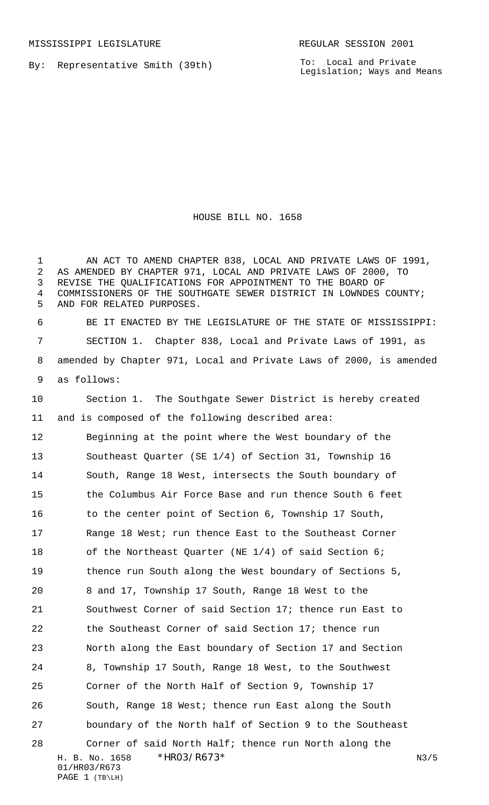By: Representative Smith (39th)

To: Local and Private Legislation; Ways and Means

HOUSE BILL NO. 1658

H. B. No. 1658 \*HRO3/R673\* N3/5 01/HR03/R673 PAGE 1 (TB\LH) AN ACT TO AMEND CHAPTER 838, LOCAL AND PRIVATE LAWS OF 1991, AS AMENDED BY CHAPTER 971, LOCAL AND PRIVATE LAWS OF 2000, TO REVISE THE QUALIFICATIONS FOR APPOINTMENT TO THE BOARD OF COMMISSIONERS OF THE SOUTHGATE SEWER DISTRICT IN LOWNDES COUNTY; AND FOR RELATED PURPOSES. BE IT ENACTED BY THE LEGISLATURE OF THE STATE OF MISSISSIPPI: SECTION 1. Chapter 838, Local and Private Laws of 1991, as amended by Chapter 971, Local and Private Laws of 2000, is amended as follows: Section 1. The Southgate Sewer District is hereby created and is composed of the following described area: Beginning at the point where the West boundary of the Southeast Quarter (SE 1/4) of Section 31, Township 16 South, Range 18 West, intersects the South boundary of the Columbus Air Force Base and run thence South 6 feet 16 to the center point of Section 6, Township 17 South, Range 18 West; run thence East to the Southeast Corner 18 of the Northeast Quarter (NE 1/4) of said Section 6; thence run South along the West boundary of Sections 5, 8 and 17, Township 17 South, Range 18 West to the Southwest Corner of said Section 17; thence run East to the Southeast Corner of said Section 17; thence run North along the East boundary of Section 17 and Section 8, Township 17 South, Range 18 West, to the Southwest Corner of the North Half of Section 9, Township 17 South, Range 18 West; thence run East along the South boundary of the North half of Section 9 to the Southeast Corner of said North Half; thence run North along the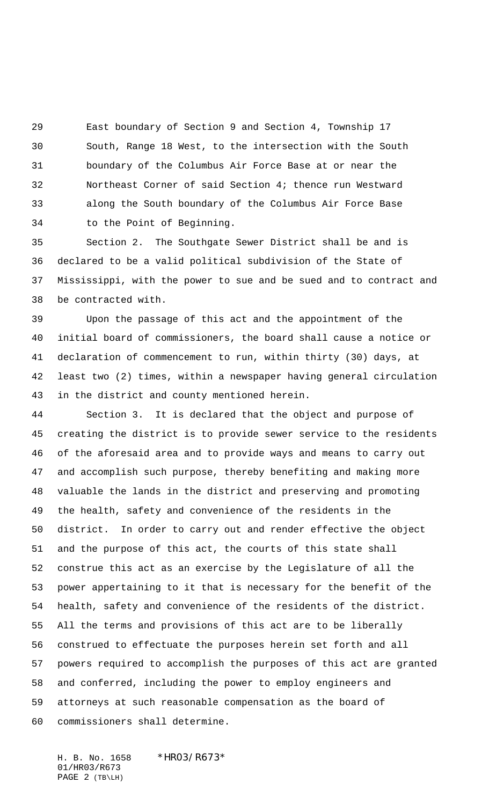East boundary of Section 9 and Section 4, Township 17 South, Range 18 West, to the intersection with the South boundary of the Columbus Air Force Base at or near the Northeast Corner of said Section 4; thence run Westward along the South boundary of the Columbus Air Force Base to the Point of Beginning.

 Section 2. The Southgate Sewer District shall be and is declared to be a valid political subdivision of the State of Mississippi, with the power to sue and be sued and to contract and be contracted with.

 Upon the passage of this act and the appointment of the initial board of commissioners, the board shall cause a notice or declaration of commencement to run, within thirty (30) days, at least two (2) times, within a newspaper having general circulation in the district and county mentioned herein.

 Section 3. It is declared that the object and purpose of creating the district is to provide sewer service to the residents of the aforesaid area and to provide ways and means to carry out and accomplish such purpose, thereby benefiting and making more valuable the lands in the district and preserving and promoting the health, safety and convenience of the residents in the district. In order to carry out and render effective the object and the purpose of this act, the courts of this state shall construe this act as an exercise by the Legislature of all the power appertaining to it that is necessary for the benefit of the health, safety and convenience of the residents of the district. All the terms and provisions of this act are to be liberally construed to effectuate the purposes herein set forth and all powers required to accomplish the purposes of this act are granted and conferred, including the power to employ engineers and attorneys at such reasonable compensation as the board of commissioners shall determine.

H. B. No. 1658 \*HRO3/R673\* 01/HR03/R673 PAGE 2 (TB\LH)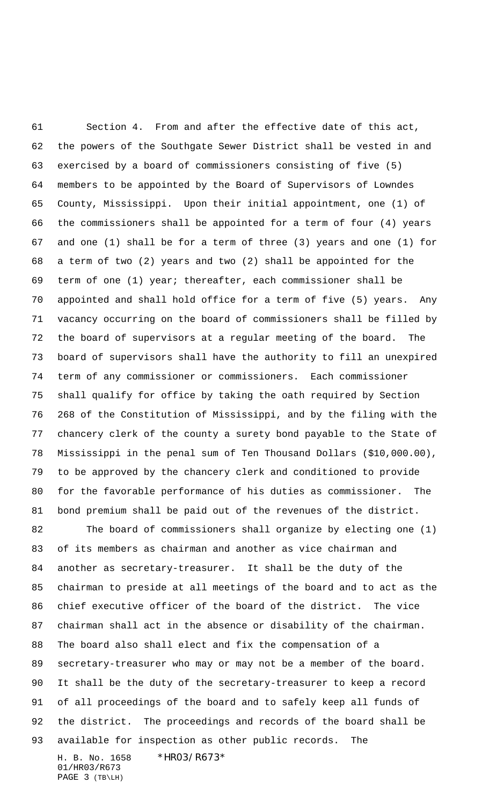H. B. No. 1658 \*HR03/R673\* 01/HR03/R673 Section 4. From and after the effective date of this act, the powers of the Southgate Sewer District shall be vested in and exercised by a board of commissioners consisting of five (5) members to be appointed by the Board of Supervisors of Lowndes County, Mississippi. Upon their initial appointment, one (1) of the commissioners shall be appointed for a term of four (4) years and one (1) shall be for a term of three (3) years and one (1) for a term of two (2) years and two (2) shall be appointed for the term of one (1) year; thereafter, each commissioner shall be appointed and shall hold office for a term of five (5) years. Any vacancy occurring on the board of commissioners shall be filled by the board of supervisors at a regular meeting of the board. The board of supervisors shall have the authority to fill an unexpired term of any commissioner or commissioners. Each commissioner shall qualify for office by taking the oath required by Section 268 of the Constitution of Mississippi, and by the filing with the chancery clerk of the county a surety bond payable to the State of Mississippi in the penal sum of Ten Thousand Dollars (\$10,000.00), to be approved by the chancery clerk and conditioned to provide for the favorable performance of his duties as commissioner. The bond premium shall be paid out of the revenues of the district. The board of commissioners shall organize by electing one (1) of its members as chairman and another as vice chairman and another as secretary-treasurer. It shall be the duty of the chairman to preside at all meetings of the board and to act as the chief executive officer of the board of the district. The vice chairman shall act in the absence or disability of the chairman. The board also shall elect and fix the compensation of a secretary-treasurer who may or may not be a member of the board. It shall be the duty of the secretary-treasurer to keep a record of all proceedings of the board and to safely keep all funds of the district. The proceedings and records of the board shall be available for inspection as other public records. The

PAGE 3 (TB\LH)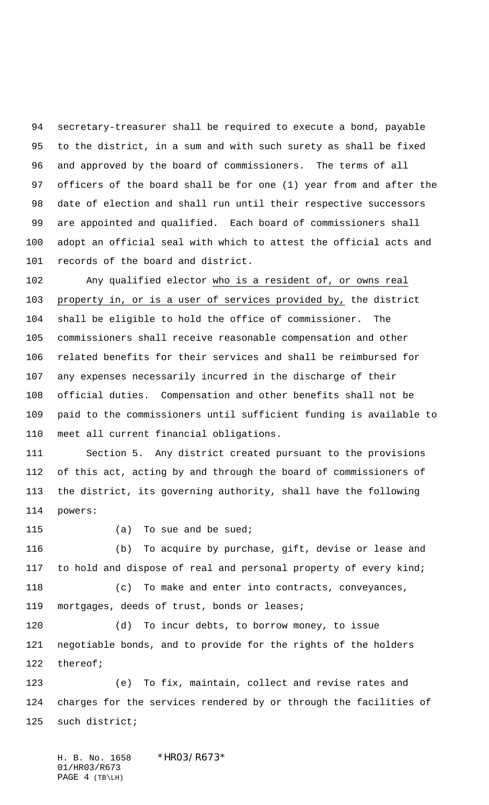secretary-treasurer shall be required to execute a bond, payable to the district, in a sum and with such surety as shall be fixed and approved by the board of commissioners. The terms of all officers of the board shall be for one (1) year from and after the date of election and shall run until their respective successors are appointed and qualified. Each board of commissioners shall adopt an official seal with which to attest the official acts and records of the board and district.

 Any qualified elector who is a resident of, or owns real property in, or is a user of services provided by, the district shall be eligible to hold the office of commissioner. The commissioners shall receive reasonable compensation and other related benefits for their services and shall be reimbursed for any expenses necessarily incurred in the discharge of their official duties. Compensation and other benefits shall not be paid to the commissioners until sufficient funding is available to meet all current financial obligations.

 Section 5. Any district created pursuant to the provisions of this act, acting by and through the board of commissioners of the district, its governing authority, shall have the following powers:

115 (a) To sue and be sued;

 (b) To acquire by purchase, gift, devise or lease and 117 to hold and dispose of real and personal property of every kind; (c) To make and enter into contracts, conveyances,

mortgages, deeds of trust, bonds or leases;

 (d) To incur debts, to borrow money, to issue negotiable bonds, and to provide for the rights of the holders thereof;

 (e) To fix, maintain, collect and revise rates and charges for the services rendered by or through the facilities of such district;

H. B. No. 1658 \*HRO3/R673\* 01/HR03/R673 PAGE 4 (TB\LH)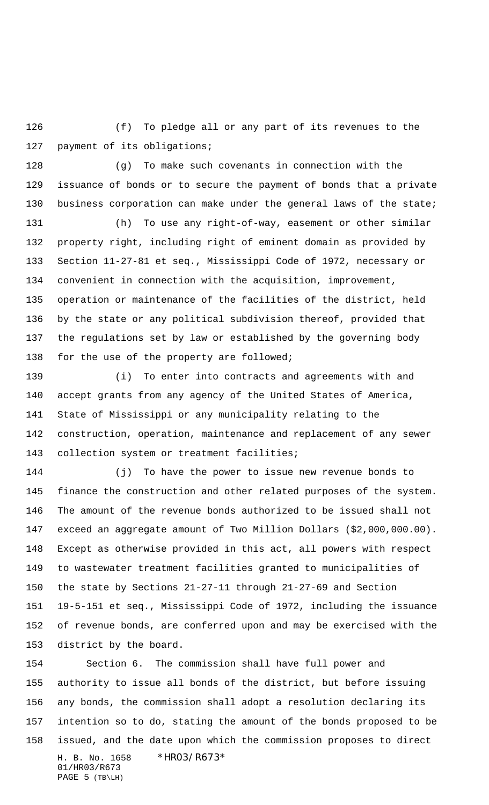(f) To pledge all or any part of its revenues to the 127 payment of its obligations;

 (g) To make such covenants in connection with the issuance of bonds or to secure the payment of bonds that a private business corporation can make under the general laws of the state;

 (h) To use any right-of-way, easement or other similar property right, including right of eminent domain as provided by Section 11-27-81 et seq., Mississippi Code of 1972, necessary or convenient in connection with the acquisition, improvement, operation or maintenance of the facilities of the district, held by the state or any political subdivision thereof, provided that the regulations set by law or established by the governing body 138 for the use of the property are followed;

 (i) To enter into contracts and agreements with and accept grants from any agency of the United States of America, State of Mississippi or any municipality relating to the construction, operation, maintenance and replacement of any sewer collection system or treatment facilities;

 (j) To have the power to issue new revenue bonds to finance the construction and other related purposes of the system. The amount of the revenue bonds authorized to be issued shall not exceed an aggregate amount of Two Million Dollars (\$2,000,000.00). Except as otherwise provided in this act, all powers with respect to wastewater treatment facilities granted to municipalities of the state by Sections 21-27-11 through 21-27-69 and Section 19-5-151 et seq., Mississippi Code of 1972, including the issuance of revenue bonds, are conferred upon and may be exercised with the district by the board.

H. B. No. 1658 \*HR03/R673\* 01/HR03/R673 PAGE 5 (TB\LH) Section 6. The commission shall have full power and authority to issue all bonds of the district, but before issuing any bonds, the commission shall adopt a resolution declaring its intention so to do, stating the amount of the bonds proposed to be issued, and the date upon which the commission proposes to direct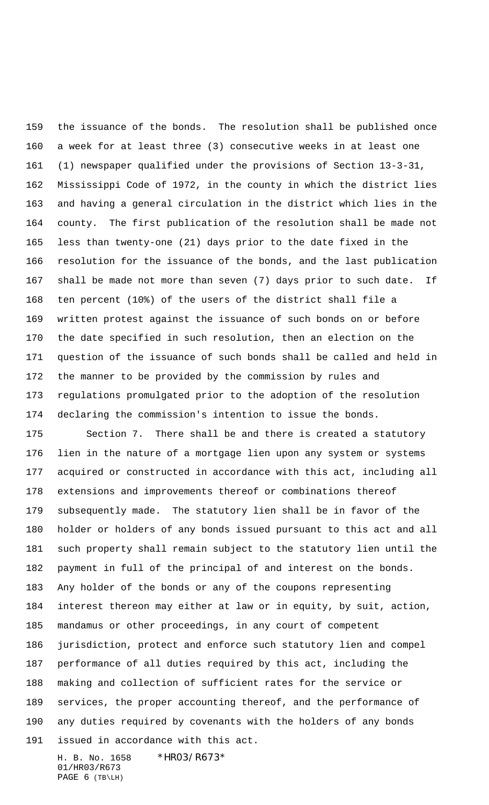the issuance of the bonds. The resolution shall be published once a week for at least three (3) consecutive weeks in at least one (1) newspaper qualified under the provisions of Section 13-3-31, Mississippi Code of 1972, in the county in which the district lies and having a general circulation in the district which lies in the county. The first publication of the resolution shall be made not less than twenty-one (21) days prior to the date fixed in the resolution for the issuance of the bonds, and the last publication shall be made not more than seven (7) days prior to such date. If ten percent (10%) of the users of the district shall file a written protest against the issuance of such bonds on or before the date specified in such resolution, then an election on the question of the issuance of such bonds shall be called and held in the manner to be provided by the commission by rules and regulations promulgated prior to the adoption of the resolution declaring the commission's intention to issue the bonds.

 Section 7. There shall be and there is created a statutory lien in the nature of a mortgage lien upon any system or systems acquired or constructed in accordance with this act, including all extensions and improvements thereof or combinations thereof subsequently made. The statutory lien shall be in favor of the holder or holders of any bonds issued pursuant to this act and all such property shall remain subject to the statutory lien until the payment in full of the principal of and interest on the bonds. Any holder of the bonds or any of the coupons representing interest thereon may either at law or in equity, by suit, action, mandamus or other proceedings, in any court of competent jurisdiction, protect and enforce such statutory lien and compel performance of all duties required by this act, including the making and collection of sufficient rates for the service or services, the proper accounting thereof, and the performance of any duties required by covenants with the holders of any bonds issued in accordance with this act.

H. B. No. 1658 \*HR03/R673\* 01/HR03/R673 PAGE 6 (TB\LH)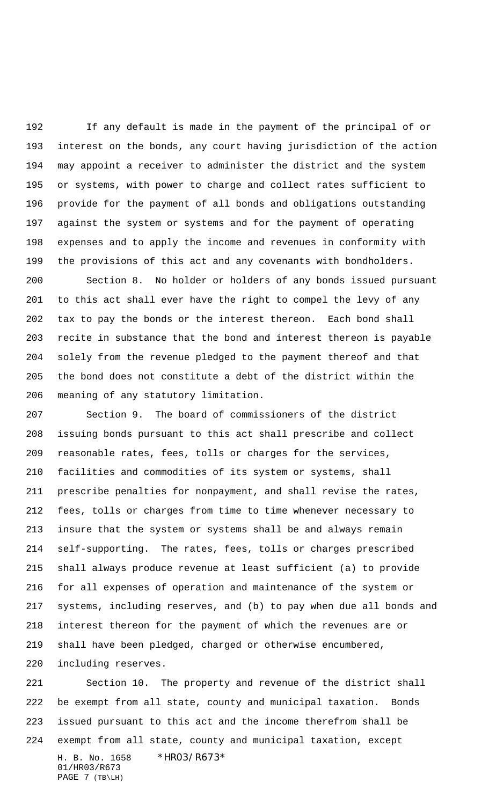If any default is made in the payment of the principal of or interest on the bonds, any court having jurisdiction of the action may appoint a receiver to administer the district and the system or systems, with power to charge and collect rates sufficient to provide for the payment of all bonds and obligations outstanding against the system or systems and for the payment of operating expenses and to apply the income and revenues in conformity with the provisions of this act and any covenants with bondholders.

 Section 8. No holder or holders of any bonds issued pursuant to this act shall ever have the right to compel the levy of any tax to pay the bonds or the interest thereon. Each bond shall recite in substance that the bond and interest thereon is payable solely from the revenue pledged to the payment thereof and that the bond does not constitute a debt of the district within the meaning of any statutory limitation.

 Section 9. The board of commissioners of the district issuing bonds pursuant to this act shall prescribe and collect reasonable rates, fees, tolls or charges for the services, facilities and commodities of its system or systems, shall prescribe penalties for nonpayment, and shall revise the rates, fees, tolls or charges from time to time whenever necessary to insure that the system or systems shall be and always remain self-supporting. The rates, fees, tolls or charges prescribed shall always produce revenue at least sufficient (a) to provide for all expenses of operation and maintenance of the system or systems, including reserves, and (b) to pay when due all bonds and interest thereon for the payment of which the revenues are or shall have been pledged, charged or otherwise encumbered, including reserves.

H. B. No. 1658 \*HR03/R673\* 01/HR03/R673 PAGE 7 (TB\LH) Section 10. The property and revenue of the district shall be exempt from all state, county and municipal taxation. Bonds issued pursuant to this act and the income therefrom shall be exempt from all state, county and municipal taxation, except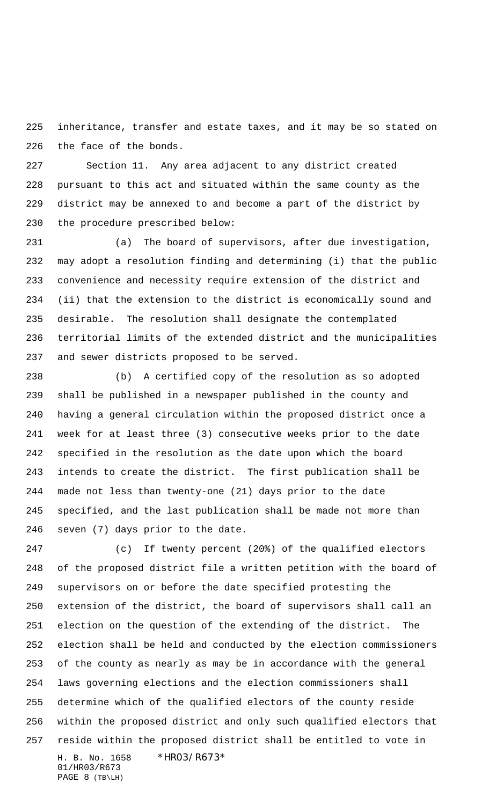inheritance, transfer and estate taxes, and it may be so stated on the face of the bonds.

 Section 11. Any area adjacent to any district created pursuant to this act and situated within the same county as the district may be annexed to and become a part of the district by the procedure prescribed below:

 (a) The board of supervisors, after due investigation, may adopt a resolution finding and determining (i) that the public convenience and necessity require extension of the district and (ii) that the extension to the district is economically sound and desirable. The resolution shall designate the contemplated territorial limits of the extended district and the municipalities and sewer districts proposed to be served.

 (b) A certified copy of the resolution as so adopted shall be published in a newspaper published in the county and having a general circulation within the proposed district once a week for at least three (3) consecutive weeks prior to the date specified in the resolution as the date upon which the board intends to create the district. The first publication shall be made not less than twenty-one (21) days prior to the date specified, and the last publication shall be made not more than seven (7) days prior to the date.

H. B. No. 1658 \*HR03/R673\* 01/HR03/R673 PAGE 8 (TB\LH) (c) If twenty percent (20%) of the qualified electors of the proposed district file a written petition with the board of supervisors on or before the date specified protesting the extension of the district, the board of supervisors shall call an election on the question of the extending of the district. The election shall be held and conducted by the election commissioners of the county as nearly as may be in accordance with the general laws governing elections and the election commissioners shall determine which of the qualified electors of the county reside within the proposed district and only such qualified electors that reside within the proposed district shall be entitled to vote in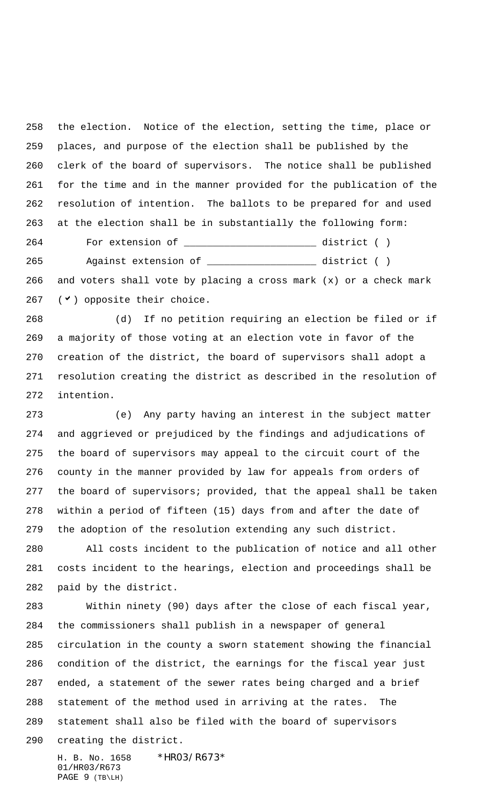the election. Notice of the election, setting the time, place or places, and purpose of the election shall be published by the clerk of the board of supervisors. The notice shall be published for the time and in the manner provided for the publication of the resolution of intention. The ballots to be prepared for and used at the election shall be in substantially the following form: For extension of \_\_\_\_\_\_\_\_\_\_\_\_\_\_\_\_\_\_\_\_\_\_\_ district ( ) Against extension of \_\_\_\_\_\_\_\_\_\_\_\_\_\_\_\_\_\_\_ district ( )

 and voters shall vote by placing a cross mark (x) or a check mark 267 ( $\vee$ ) opposite their choice.

 (d) If no petition requiring an election be filed or if a majority of those voting at an election vote in favor of the creation of the district, the board of supervisors shall adopt a resolution creating the district as described in the resolution of intention.

 (e) Any party having an interest in the subject matter and aggrieved or prejudiced by the findings and adjudications of the board of supervisors may appeal to the circuit court of the county in the manner provided by law for appeals from orders of the board of supervisors; provided, that the appeal shall be taken within a period of fifteen (15) days from and after the date of the adoption of the resolution extending any such district.

 All costs incident to the publication of notice and all other costs incident to the hearings, election and proceedings shall be paid by the district.

 Within ninety (90) days after the close of each fiscal year, the commissioners shall publish in a newspaper of general circulation in the county a sworn statement showing the financial condition of the district, the earnings for the fiscal year just ended, a statement of the sewer rates being charged and a brief statement of the method used in arriving at the rates. The statement shall also be filed with the board of supervisors creating the district.

H. B. No. 1658 \*HR03/R673\* 01/HR03/R673 PAGE 9 (TB\LH)